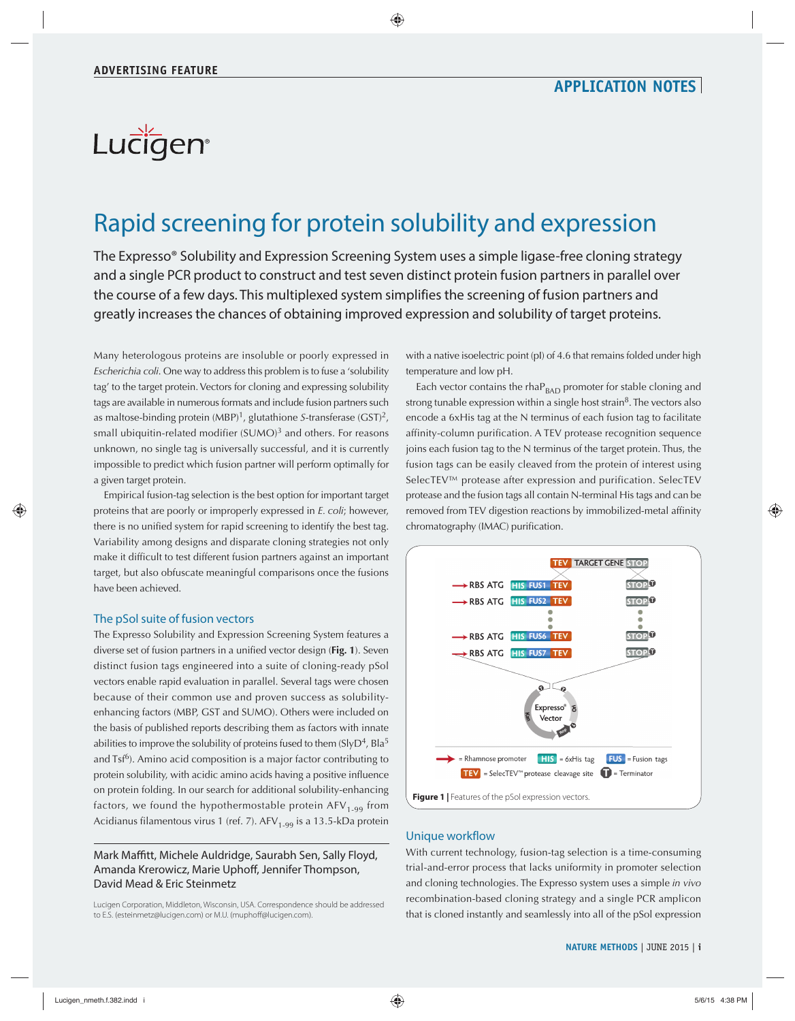# Lucigen®

## Rapid screening for protein solubility and expression

The Expresso® Solubility and Expression Screening System uses a simple ligase-free cloning strategy and a single PCR product to construct and test seven distinct protein fusion partners in parallel over the course of a few days. This multiplexed system simplifies the screening of fusion partners and greatly increases the chances of obtaining improved expression and solubility of target proteins.

Many heterologous proteins are insoluble or poorly expressed in *Escherichia coli*. One way to address this problem is to fuse a 'solubility tag' to the target protein. Vectors for cloning and expressing solubility tags are available in numerous formats and include fusion partners such as maltose-binding protein (MBP)1, glutathione *S*-transferase (GST)2, small ubiquitin-related modifier  $(SUMO)<sup>3</sup>$  and others. For reasons unknown, no single tag is universally successful, and it is currently impossible to predict which fusion partner will perform optimally for a given target protein.

Empirical fusion-tag selection is the best option for important target proteins that are poorly or improperly expressed in *E. coli*; however, there is no unified system for rapid screening to identify the best tag. Variability among designs and disparate cloning strategies not only make it difficult to test different fusion partners against an important target, but also obfuscate meaningful comparisons once the fusions have been achieved.

## The pSol suite of fusion vectors

The Expresso Solubility and Expression Screening System features a diverse set of fusion partners in a unified vector design (**Fig. 1**). Seven distinct fusion tags engineered into a suite of cloning-ready pSol vectors enable rapid evaluation in parallel. Several tags were chosen because of their common use and proven success as solubilityenhancing factors (MBP, GST and SUMO). Others were included on the basis of published reports describing them as factors with innate abilities to improve the solubility of proteins fused to them  $(SIyD<sup>4</sup>, BIa<sup>5</sup>)$ and Tsf<sup>6</sup>). Amino acid composition is a major factor contributing to protein solubility, with acidic amino acids having a positive influence on protein folding. In our search for additional solubility-enhancing factors, we found the hypothermostable protein  $AFV_{1-99}$  from Acidianus filamentous virus 1 (ref. 7).  $APV_{1.99}$  is a 13.5-kDa protein

Mark Maffitt, Michele Auldridge, Saurabh Sen, Sally Floyd, Amanda Krerowicz, Marie Uphoff, Jennifer Thompson, David Mead & Eric Steinmetz

Lucigen Corporation, Middleton, Wisconsin, USA. Correspondence should be addressed to E.S. (esteinmetz@lucigen.com) or M.U. (muphoff@lucigen.com).

with a native isoelectric point (pI) of 4.6 that remains folded under high temperature and low pH.

Each vector contains the rha $P_{BAD}$  promoter for stable cloning and strong tunable expression within a single host strain<sup>8</sup>. The vectors also encode a 6xHis tag at the N terminus of each fusion tag to facilitate affinity-column purification. A TEV protease recognition sequence joins each fusion tag to the N terminus of the target protein. Thus, the fusion tags can be easily cleaved from the protein of interest using SelecTEV™ protease after expression and purification. SelecTEV protease and the fusion tags all contain N-terminal His tags and can be removed from TEV digestion reactions by immobilized-metal affinity chromatography (IMAC) purification.



### Unique workflow

With current technology, fusion-tag selection is a time-consuming trial-and-error process that lacks uniformity in promoter selection and cloning technologies. The Expresso system uses a simple *in vivo* recombination-based cloning strategy and a single PCR amplicon that is cloned instantly and seamlessly into all of the pSol expression